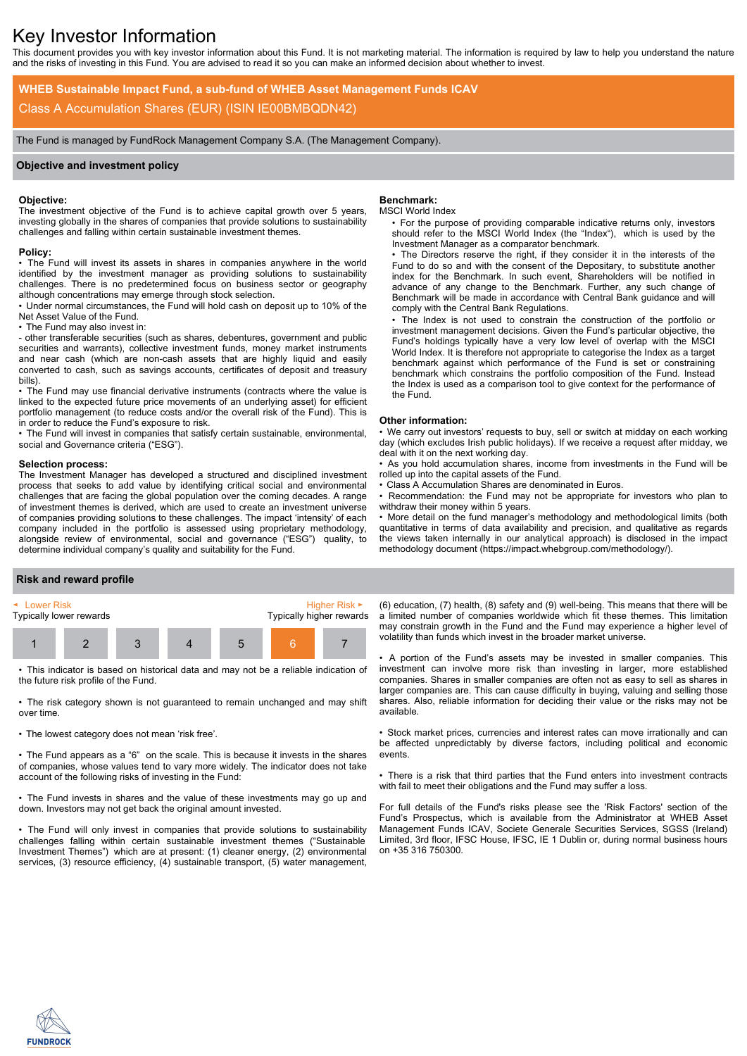# Key Investor Information

This document provides you with key investor information about this Fund. It is not marketing material. The information is required by law to help you understand the nature and the risks of investing in this Fund. You are advised to read it so you can make an informed decision about whether to invest.

**WHEB Sustainable Impact Fund, a sub-fund of WHEB Asset Management Funds ICAV** Class A Accumulation Shares (EUR) (ISIN IE00BMBQDN42)

The Fund is managed by FundRock Management Company S.A. (The Management Company).

# **Objective and investment policy**

## **Objective:**

The investment objective of the Fund is to achieve capital growth over 5 years, investing globally in the shares of companies that provide solutions to sustainability challenges and falling within certain sustainable investment themes.

## **Policy:**

• The Fund will invest its assets in shares in companies anywhere in the world identified by the investment manager as providing solutions to sustainability challenges. There is no predetermined focus on business sector or geography although concentrations may emerge through stock selection.

• Under normal circumstances, the Fund will hold cash on deposit up to 10% of the Net Asset Value of the Fund.

• The Fund may also invest in:

- other transferable securities (such as shares, debentures, government and public securities and warrants), collective investment funds, money market instruments and near cash (which are non-cash assets that are highly liquid and easily converted to cash, such as savings accounts, certificates of deposit and treasury bills).

• The Fund may use financial derivative instruments (contracts where the value is linked to the expected future price movements of an underlying asset) for efficient portfolio management (to reduce costs and/or the overall risk of the Fund). This is in order to reduce the Fund's exposure to risk.

• The Fund will invest in companies that satisfy certain sustainable, environmental, social and Governance criteria ("ESG").

#### **Selection process:**

The Investment Manager has developed a structured and disciplined investment process that seeks to add value by identifying critical social and environmental challenges that are facing the global population over the coming decades. A range of investment themes is derived, which are used to create an investment universe of companies providing solutions to these challenges. The impact 'intensity' of each company included in the portfolio is assessed using proprietary methodology, alongside review of environmental, social and governance ("ESG") quality, to determine individual company's quality and suitability for the Fund.

# **Benchmark:**

## MSCI World Index

• For the purpose of providing comparable indicative returns only, investors should refer to the MSCI World Index (the "Index"), which is used by the Investment Manager as a comparator benchmark.

• The Directors reserve the right, if they consider it in the interests of the Fund to do so and with the consent of the Depositary, to substitute another index for the Benchmark. In such event, Shareholders will be notified in advance of any change to the Benchmark. Further, any such change of Benchmark will be made in accordance with Central Bank guidance and will comply with the Central Bank Regulations.

• The Index is not used to constrain the construction of the portfolio or investment management decisions. Given the Fund's particular objective, the Fund's holdings typically have a very low level of overlap with the MSCI World Index. It is therefore not appropriate to categorise the Index as a target benchmark against which performance of the Fund is set or constraining benchmark which constrains the portfolio composition of the Fund. Instead the Index is used as a comparison tool to give context for the performance of the Fund.

#### **Other information:**

• We carry out investors' requests to buy, sell or switch at midday on each working day (which excludes Irish public holidays). If we receive a request after midday, we deal with it on the next working day.

• As you hold accumulation shares, income from investments in the Fund will be rolled up into the capital assets of the Fund.

Class A Accumulation Shares are denominated in Euros.

Recommendation: the Fund may not be appropriate for investors who plan to withdraw their money within 5 years.

• More detail on the fund manager's methodology and methodological limits (both quantitative in terms of data availability and precision, and qualitative as regards the views taken internally in our analytical approach) is disclosed in the impact methodology document (https://impact.whebgroup.com/methodology/).

## **Risk and reward profile**



• This indicator is based on historical data and may not be a reliable indication of the future risk profile of the Fund.

• The risk category shown is not guaranteed to remain unchanged and may shift over time.

• The lowest category does not mean 'risk free'.

• The Fund appears as a "6" on the scale. This is because it invests in the shares of companies, whose values tend to vary more widely. The indicator does not take account of the following risks of investing in the Fund:

• The Fund invests in shares and the value of these investments may go up and down. Investors may not get back the original amount invested.

• The Fund will only invest in companies that provide solutions to sustainability challenges falling within certain sustainable investment themes ("Sustainable Investment Themes") which are at present: (1) cleaner energy, (2) environmental services, (3) resource efficiency, (4) sustainable transport, (5) water management,

(6) education, (7) health, (8) safety and (9) well-being. This means that there will be a limited number of companies worldwide which fit these themes. This limitation may constrain growth in the Fund and the Fund may experience a higher level of volatility than funds which invest in the broader market universe.

• A portion of the Fund's assets may be invested in smaller companies. This investment can involve more risk than investing in larger, more established companies. Shares in smaller companies are often not as easy to sell as shares in larger companies are. This can cause difficulty in buying, valuing and selling those shares. Also, reliable information for deciding their value or the risks may not be available.

• Stock market prices, currencies and interest rates can move irrationally and can be affected unpredictably by diverse factors, including political and economic events.

• There is a risk that third parties that the Fund enters into investment contracts with fail to meet their obligations and the Fund may suffer a loss.

For full details of the Fund's risks please see the 'Risk Factors' section of the Fund's Prospectus, which is available from the Administrator at WHEB Asset Management Funds ICAV, Societe Generale Securities Services, SGSS (Ireland) Limited, 3rd floor, IFSC House, IFSC, IE 1 Dublin or, during normal business hours on +35 316 750300.